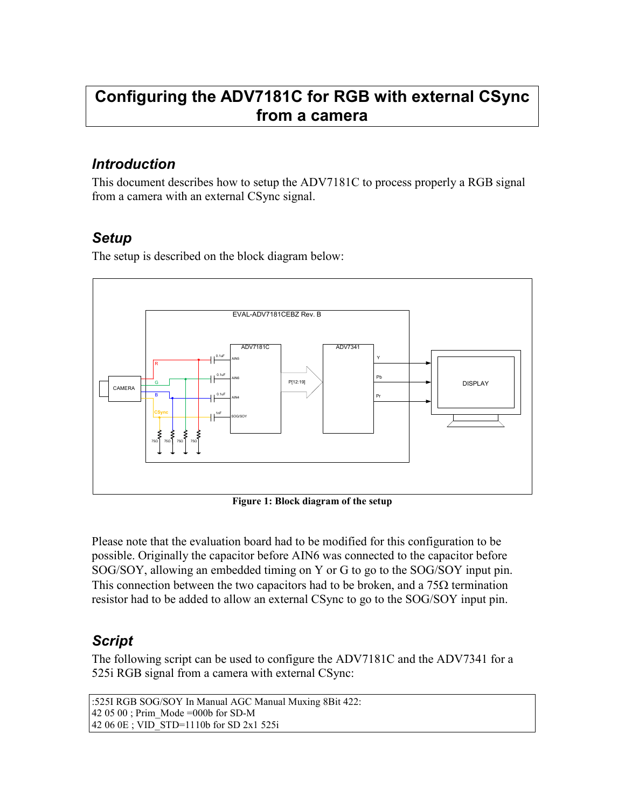## Configuring the ADV7181C for RGB with external CSync from a camera

## Introduction

This document describes how to setup the ADV7181C to process properly a RGB signal from a camera with an external CSync signal.

## **Setup**

The setup is described on the block diagram below:



Figure 1: Block diagram of the setup

Please note that the evaluation board had to be modified for this configuration to be possible. Originally the capacitor before AIN6 was connected to the capacitor before SOG/SOY, allowing an embedded timing on Y or G to go to the SOG/SOY input pin. This connection between the two capacitors had to be broken, and a  $75\Omega$  termination resistor had to be added to allow an external CSync to go to the SOG/SOY input pin.

## Script

The following script can be used to configure the ADV7181C and the ADV7341 for a 525i RGB signal from a camera with external CSync:

```
:525I RGB SOG/SOY In Manual AGC Manual Muxing 8Bit 422: 
42 05 00 ; Prim_Mode =000b for SD-M 
42 06 0E ; VID_STD=1110b for SD 2x1 525i
```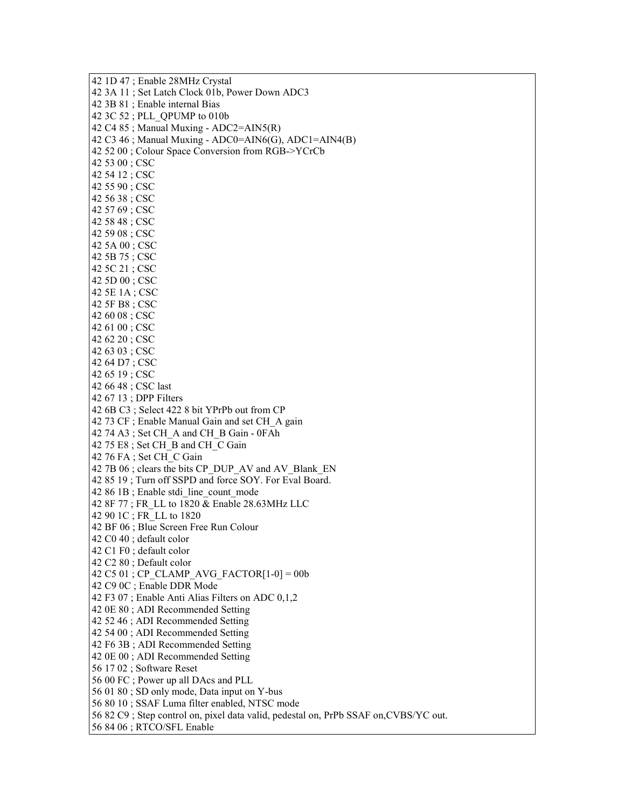42 1D 47 ; Enable 28MHz Crystal 42 3A 11 ; Set Latch Clock 01b, Power Down ADC3 42 3B 81 ; Enable internal Bias 42 3C 52 ; PLL\_QPUMP to 010b 42 C4 85; Manual Muxing -  $ADC2 = AIN5(R)$ 42 C3 46; Manual Muxing - ADC0=AIN6(G), ADC1=AIN4(B) 42 52 00 ; Colour Space Conversion from RGB->YCrCb 42 53 00 ; CSC 42 54 12 ; CSC 42 55 90 ; CSC 42 56 38 ; CSC 42 57 69 ; CSC 42 58 48 ; CSC 42 59 08 ; CSC 42 5A 00 ; CSC 42 5B 75 ; CSC 42 5C 21 ; CSC 42 5D 00 ; CSC 42 5E 1A ; CSC 42 5F B8 ; CSC 42 60 08 ; CSC 42 61 00 ; CSC 42 62 20 ; CSC 42 63 03 ; CSC 42 64 D7 ; CSC 42 65 19 ; CSC 42 66 48 ; CSC last 42 67 13 ; DPP Filters 42 6B C3 ; Select 422 8 bit YPrPb out from CP 42 73 CF ; Enable Manual Gain and set CH\_A gain 42 74 A3 ; Set CH\_A and CH\_B Gain - 0FAh 42 75 E8 ; Set CH\_B and CH\_C Gain 42 76 FA ; Set CH\_C Gain 42 7B 06 ; clears the bits CP\_DUP\_AV and AV\_Blank\_EN 42 85 19 ; Turn off SSPD and force SOY. For Eval Board. 42 86 1B ; Enable stdi\_line\_count\_mode 42 8F 77 ; FR\_LL to 1820 & Enable 28.63MHz LLC 42 90 1C ; FR\_LL to 1820 42 BF 06 ; Blue Screen Free Run Colour 42 C0 40 ; default color 42 C1 F0 ; default color 42 C2 80 ; Default color 42 C5 01 ; CP\_CLAMP\_AVG\_FACTOR $[1-0] = 00b$ 42 C9 0C ; Enable DDR Mode 42 F3 07 ; Enable Anti Alias Filters on ADC 0,1,2 42 0E 80 ; ADI Recommended Setting 42 52 46 ; ADI Recommended Setting 42 54 00 ; ADI Recommended Setting 42 F6 3B ; ADI Recommended Setting 42 0E 00 ; ADI Recommended Setting 56 17 02 ; Software Reset 56 00 FC ; Power up all DAcs and PLL 56 01 80 ; SD only mode, Data input on Y-bus 56 80 10 ; SSAF Luma filter enabled, NTSC mode 56 82 C9 ; Step control on, pixel data valid, pedestal on, PrPb SSAF on,CVBS/YC out. 56 84 06 ; RTCO/SFL Enable